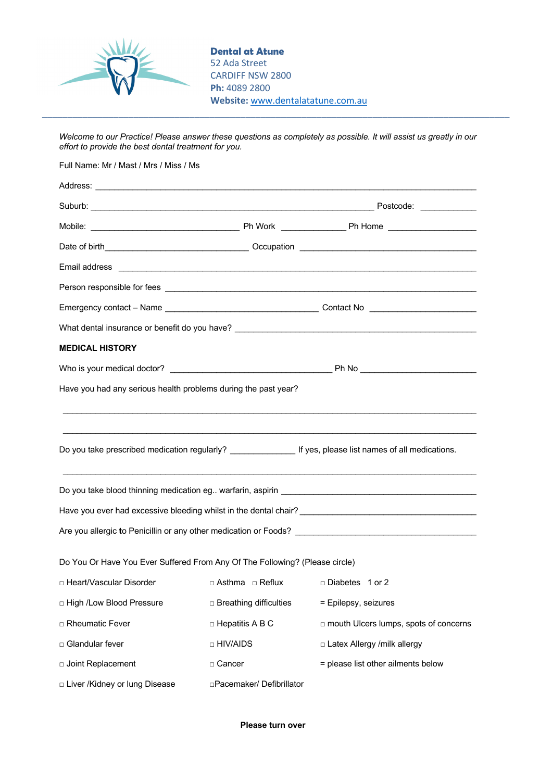

**Dental at Atune** 52 Ada Street CARDIFF NSW 2800 **Ph:** 4089 2800 **Website:** www.dentalatatune.com.au

*Welcome to our Practice! Please answer these questions as completely as possible. It will assist us greatly in our effort to provide the best dental treatment for you.*

\_\_\_\_\_\_\_\_\_\_\_\_\_\_\_\_\_\_\_\_\_\_\_\_\_\_\_\_\_\_\_\_\_\_\_\_\_\_\_\_\_\_\_\_\_\_\_\_\_\_\_\_\_\_\_\_\_\_\_\_\_\_\_\_\_\_\_\_\_\_\_\_\_\_\_\_\_\_\_\_\_\_\_\_\_\_\_\_\_\_\_\_

Full Name: Mr / Mast / Mrs / Miss / Ms Address: Suburb: \_\_\_\_\_\_\_\_\_\_\_\_\_\_\_\_\_\_\_\_\_\_\_\_\_\_\_\_\_\_\_\_\_\_\_\_\_\_\_\_\_\_\_\_\_\_\_\_\_\_\_\_\_\_\_\_\_\_\_\_\_ Postcode: \_\_\_\_\_\_\_\_\_\_\_\_ Mobile: \_\_\_\_\_\_\_\_\_\_\_\_\_\_\_\_\_\_\_\_\_\_\_\_\_\_\_\_\_\_\_\_ Ph Work \_\_\_\_\_\_\_\_\_\_\_\_\_\_ Ph Home \_\_\_\_\_\_\_\_\_\_\_\_\_\_\_\_\_\_\_ Date of birth\_\_\_\_\_\_\_\_\_\_\_\_\_\_\_\_\_\_\_\_\_\_\_\_\_\_\_\_\_\_\_ Occupation \_\_\_\_\_\_\_\_\_\_\_\_\_\_\_\_\_\_\_\_\_\_\_\_\_\_\_\_\_\_\_\_\_\_\_\_\_\_ Email address Person responsible for fees **with a set of the set of the set of the set of the set of the set of the set of the set of the set of the set of the set of the set of the set of the set of the set of the set of the set of the** Emergency contact – Name \_\_\_\_\_\_\_\_\_\_\_\_\_\_\_\_\_\_\_\_\_\_\_\_\_\_\_\_\_\_\_\_\_ Contact No \_\_\_\_\_\_\_\_\_\_\_\_\_\_\_\_\_\_\_\_\_\_\_ What dental insurance or benefit do you have? \_\_\_\_\_\_\_\_\_\_\_\_\_\_\_\_\_\_\_\_\_\_\_\_\_\_\_\_\_\_\_\_\_\_ **MEDICAL HISTORY** Who is your medical doctor? \_\_\_\_\_\_\_\_\_\_\_\_\_\_\_\_\_\_\_\_\_\_\_\_\_\_\_\_\_\_\_\_\_\_\_ Ph No \_\_\_\_\_\_\_\_\_\_\_\_\_\_\_\_\_\_\_\_\_\_\_\_\_ Have you had any serious health problems during the past year?  $\mathcal{L}_\mathcal{L} = \{ \mathcal{L}_\mathcal{L} = \{ \mathcal{L}_\mathcal{L} = \{ \mathcal{L}_\mathcal{L} = \{ \mathcal{L}_\mathcal{L} = \{ \mathcal{L}_\mathcal{L} = \{ \mathcal{L}_\mathcal{L} = \{ \mathcal{L}_\mathcal{L} = \{ \mathcal{L}_\mathcal{L} = \{ \mathcal{L}_\mathcal{L} = \{ \mathcal{L}_\mathcal{L} = \{ \mathcal{L}_\mathcal{L} = \{ \mathcal{L}_\mathcal{L} = \{ \mathcal{L}_\mathcal{L} = \{ \mathcal{L}_\mathcal{$  $\mathcal{L}_\mathcal{L} = \{ \mathcal{L}_\mathcal{L} = \{ \mathcal{L}_\mathcal{L} = \{ \mathcal{L}_\mathcal{L} = \{ \mathcal{L}_\mathcal{L} = \{ \mathcal{L}_\mathcal{L} = \{ \mathcal{L}_\mathcal{L} = \{ \mathcal{L}_\mathcal{L} = \{ \mathcal{L}_\mathcal{L} = \{ \mathcal{L}_\mathcal{L} = \{ \mathcal{L}_\mathcal{L} = \{ \mathcal{L}_\mathcal{L} = \{ \mathcal{L}_\mathcal{L} = \{ \mathcal{L}_\mathcal{L} = \{ \mathcal{L}_\mathcal{$ Do you take prescribed medication regularly? \_\_\_\_\_\_\_\_\_\_\_\_\_\_\_\_\_ If yes, please list names of all medications. \_\_\_\_\_\_\_\_\_\_\_\_\_\_\_\_\_\_\_\_\_\_\_\_\_\_\_\_\_\_\_\_\_\_\_\_\_\_\_\_\_\_\_\_\_\_\_\_\_\_\_\_\_\_\_\_\_\_\_\_\_\_\_\_\_\_\_\_\_\_\_\_\_\_\_\_\_\_\_\_\_\_\_\_\_\_\_\_\_ Do vou take blood thinning medication eg.. warfarin, aspirin \_\_\_\_\_\_\_\_\_\_\_\_\_\_\_\_\_\_\_ Have you ever had excessive bleeding whilst in the dental chair? Are you allergic **t**o Penicillin or any other medication or Foods? \_\_\_\_\_\_\_\_\_\_\_\_\_\_\_\_\_\_\_\_\_\_\_\_\_\_\_\_\_\_\_\_\_\_\_\_\_\_\_ Do You Or Have You Ever Suffered From Any Of The Following? (Please circle) □ Heart/Vascular Disorder □ Asthma □ Reflux □ Diabetes 1 or 2 □ High /Low Blood Pressure □ Breathing difficulties = Epilepsy, seizures □ Rheumatic Fever □ □ Hepatitis A B C □ mouth Ulcers lumps, spots of concerns □ Glandular fever □ □ HIV/AIDS □ □ Latex Allergy /milk allergy □ Joint Replacement □ Liver /Kidney or lung Disease □ Cancer □Pacemaker/ Defibrillator = please list other ailments below

**Please turn over**